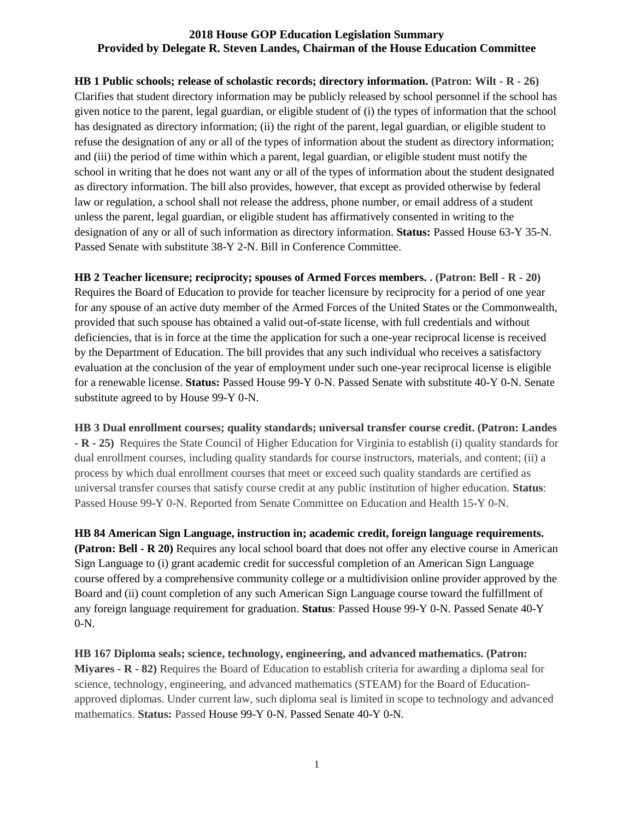**HB 1 Public schools; release of scholastic records; directory information. (Patron: Wilt - R - 26)** Clarifies that student directory information may be publicly released by school personnel if the school has given notice to the parent, legal guardian, or eligible student of (i) the types of information that the school has designated as directory information; (ii) the right of the parent, legal guardian, or eligible student to refuse the designation of any or all of the types of information about the student as directory information; and (iii) the period of time within which a parent, legal guardian, or eligible student must notify the school in writing that he does not want any or all of the types of information about the student designated as directory information. The bill also provides, however, that except as provided otherwise by federal law or regulation, a school shall not release the address, phone number, or email address of a student unless the parent, legal guardian, or eligible student has affirmatively consented in writing to the designation of any or all of such information as directory information. **Status:** Passed House 63-Y 35-N. Passed Senate with substitute 38-Y 2-N. Bill in Conference Committee.

**HB 2 Teacher licensure; reciprocity; spouses of Armed Forces members. . (Patron: Bell - R - 20)**  Requires the Board of Education to provide for teacher licensure by reciprocity for a period of one year for any spouse of an active duty member of the Armed Forces of the United States or the Commonwealth, provided that such spouse has obtained a valid out-of-state license, with full credentials and without deficiencies, that is in force at the time the application for such a one-year reciprocal license is received by the Department of Education. The bill provides that any such individual who receives a satisfactory evaluation at the conclusion of the year of employment under such one-year reciprocal license is eligible for a renewable license. **Status:** Passed House 99-Y 0-N. Passed Senate with substitute 40-Y 0-N. Senate substitute agreed to by House 99-Y 0-N.

**HB 3 Dual enrollment courses; quality standards; universal transfer course credit. (Patron: Landes - R - 25)** Requires the State Council of Higher Education for Virginia to establish (i) quality standards for dual enrollment courses, including quality standards for course instructors, materials, and content; (ii) a process by which dual enrollment courses that meet or exceed such quality standards are certified as universal transfer courses that satisfy course credit at any public institution of higher education. **Status**: Passed House 99-Y 0-N. Reported from Senate Committee on Education and Health 15-Y 0-N.

**HB 84 American Sign Language, instruction in; academic credit, foreign language requirements. (Patron: Bell - R 20)** Requires any local school board that does not offer any elective course in American Sign Language to (i) grant academic credit for successful completion of an American Sign Language course offered by a comprehensive community college or a multidivision online provider approved by the Board and (ii) count completion of any such American Sign Language course toward the fulfillment of any foreign language requirement for graduation. **Status**: Passed House 99-Y 0-N. [Passed](https://lis.virginia.gov/cgi-bin/legp604.exe?181+com+S04) Senate 40-Y 0-N.

**HB 167 Diploma seals; science, technology, engineering, and advanced mathematics. (Patron: Miyares - R - 82)** Requires the Board of Education to establish criteria for awarding a diploma seal for science, technology, engineering, and advanced mathematics (STEAM) for the Board of Educationapproved diplomas. Under current law, such diploma seal is limited in scope to technology and advanced mathematics. **Status:** Passed [House 99-Y 0-N. P](https://lis.virginia.gov/cgi-bin/legp604.exe?181+vot+HV0709+HB0167)assed Senate 40-Y 0-N.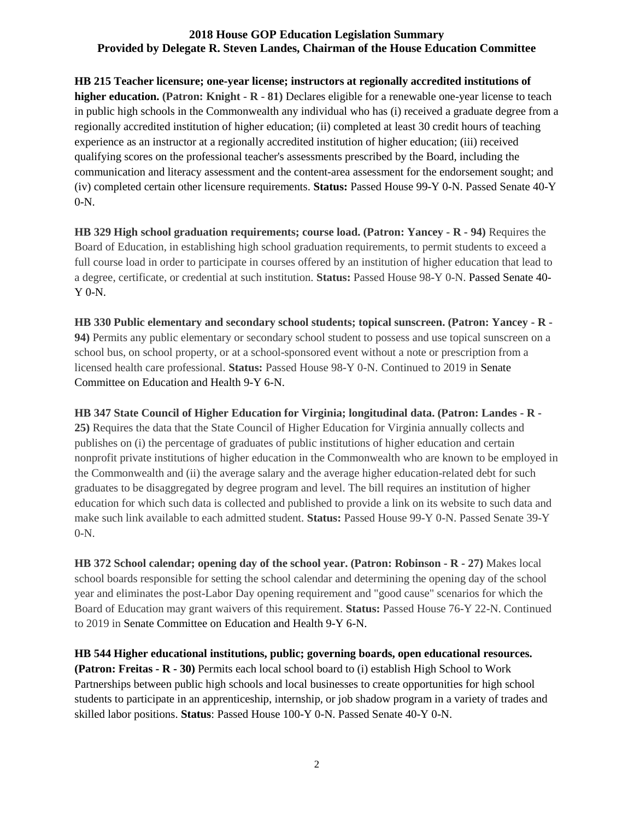**HB 215 Teacher licensure; one-year license; instructors at regionally accredited institutions of higher education. (Patron: Knight - R - 81)** Declares eligible for a renewable one-year license to teach in public high schools in the Commonwealth any individual who has (i) received a graduate degree from a regionally accredited institution of higher education; (ii) completed at least 30 credit hours of teaching experience as an instructor at a regionally accredited institution of higher education; (iii) received qualifying scores on the professional teacher's assessments prescribed by the Board, including the communication and literacy assessment and the content-area assessment for the endorsement sought; and (iv) completed certain other licensure requirements. **Status:** Passed House 99-Y 0-N. Passed Senate 40-Y 0-N.

**HB 329 High school graduation requirements; course load. (Patron: Yancey - R - 94)** Requires the Board of Education, in establishing high school graduation requirements, to permit students to exceed a full course load in order to participate in courses offered by an institution of higher education that lead to a degree, certificate, or credential at such institution. **Status:** Passed House 98-Y 0-N. [Passed](https://lis.virginia.gov/cgi-bin/legp604.exe?181+sub+S04001) Senate 40- Y 0-N.

**HB 330 Public elementary and secondary school students; topical sunscreen. (Patron: Yancey - R - 94)** Permits any public elementary or secondary school student to possess and use topical sunscreen on a school bus, on school property, or at a school-sponsored event without a note or prescription from a licensed health care professional. **Status:** Passed House 98-Y 0-N. Continued to 2019 in [Senate](https://lis.virginia.gov/cgi-bin/legp604.exe?181+com+S04)  [Committee on Education and Health](https://lis.virginia.gov/cgi-bin/legp604.exe?181+com+S04) 9-Y 6-N.

**HB 347 State Council of Higher Education for Virginia; longitudinal data. (Patron: Landes - R - 25)** Requires the data that the State Council of Higher Education for Virginia annually collects and publishes on (i) the percentage of graduates of public institutions of higher education and certain nonprofit private institutions of higher education in the Commonwealth who are known to be employed in the Commonwealth and (ii) the average salary and the average higher education-related debt for such graduates to be disaggregated by degree program and level. The bill requires an institution of higher education for which such data is collected and published to provide a link on its website to such data and make such link available to each admitted student. **Status:** Passed House 99-Y 0-N. Passed Senate 39-Y 0-N.

**HB 372 School calendar; opening day of the school year. (Patron: Robinson - R - 27)** Makes local school boards responsible for setting the school calendar and determining the opening day of the school year and eliminates the post-Labor Day opening requirement and "good cause" scenarios for which the Board of Education may grant waivers of this requirement. **Status:** Passed House 76-Y 22-N. Continued to 2019 in [Senate Committee on Education and Health](https://lis.virginia.gov/cgi-bin/legp604.exe?181+com+S04) 9-Y 6-N.

**HB 544 Higher educational institutions, public; governing boards, open educational resources. (Patron: Freitas - R - 30)** Permits each local school board to (i) establish High School to Work Partnerships between public high schools and local businesses to create opportunities for high school students to participate in an apprenticeship, internship, or job shadow program in a variety of trades and skilled labor positions. **Status**: Passed House 100-Y 0-N. Passed Senate 40-Y 0-N.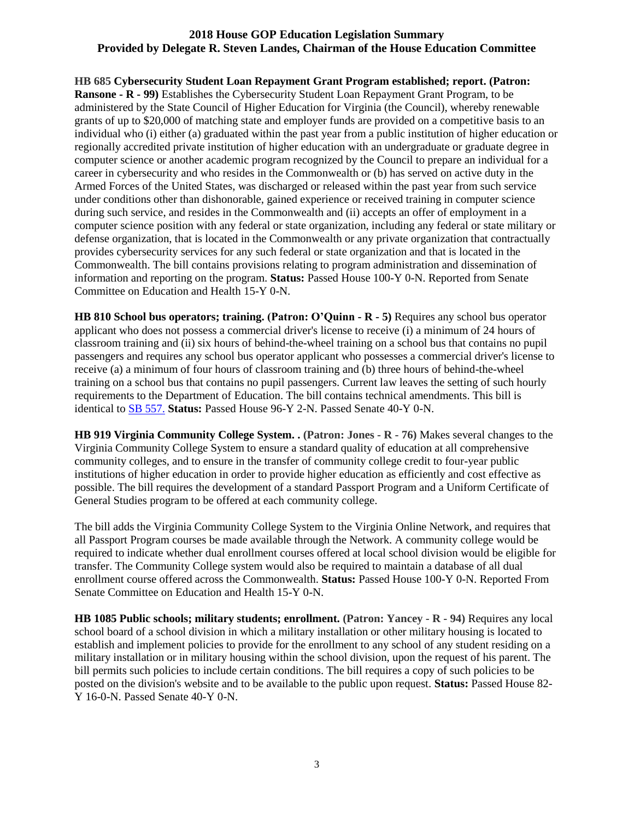**HB 685 Cybersecurity Student Loan Repayment Grant Program established; report. (Patron: Ransone - R - 99)** Establishes the Cybersecurity Student Loan Repayment Grant Program, to be administered by the State Council of Higher Education for Virginia (the Council), whereby renewable grants of up to \$20,000 of matching state and employer funds are provided on a competitive basis to an individual who (i) either (a) graduated within the past year from a public institution of higher education or regionally accredited private institution of higher education with an undergraduate or graduate degree in computer science or another academic program recognized by the Council to prepare an individual for a career in cybersecurity and who resides in the Commonwealth or (b) has served on active duty in the Armed Forces of the United States, was discharged or released within the past year from such service under conditions other than dishonorable, gained experience or received training in computer science during such service, and resides in the Commonwealth and (ii) accepts an offer of employment in a computer science position with any federal or state organization, including any federal or state military or defense organization, that is located in the Commonwealth or any private organization that contractually provides cybersecurity services for any such federal or state organization and that is located in the Commonwealth. The bill contains provisions relating to program administration and dissemination of information and reporting on the program. **Status:** Passed House 100-Y 0-N. Reported from Senate Committee on Education and Health 15-Y 0-N.

**HB 810 School bus operators; training. (Patron: O'Quinn - R - 5)** Requires any school bus operator applicant who does not possess a commercial driver's license to receive (i) a minimum of 24 hours of classroom training and (ii) six hours of behind-the-wheel training on a school bus that contains no pupil passengers and requires any school bus operator applicant who possesses a commercial driver's license to receive (a) a minimum of four hours of classroom training and (b) three hours of behind-the-wheel training on a school bus that contains no pupil passengers. Current law leaves the setting of such hourly requirements to the Department of Education. The bill contains technical amendments. This bill is identical to [SB 557.](https://lis.virginia.gov/cgi-bin/legp604.exe?181+sum+SB557) **Status:** Passed House 96-Y 2-N. Passed Senate 40-Y 0-N.

**HB 919 Virginia Community College System. . (Patron: Jones - R - 76)** Makes several changes to the Virginia Community College System to ensure a standard quality of education at all comprehensive community colleges, and to ensure in the transfer of community college credit to four-year public institutions of higher education in order to provide higher education as efficiently and cost effective as possible. The bill requires the development of a standard Passport Program and a Uniform Certificate of General Studies program to be offered at each community college.

The bill adds the Virginia Community College System to the Virginia Online Network, and requires that all Passport Program courses be made available through the Network. A community college would be required to indicate whether dual enrollment courses offered at local school division would be eligible for transfer. The Community College system would also be required to maintain a database of all dual enrollment course offered across the Commonwealth. **Status:** Passed House 100-Y 0-N. Reported From Senate Committee on Education and Health 15-Y 0-N.

**HB 1085 Public schools; military students; enrollment. (Patron: Yancey - R - 94)** Requires any local school board of a school division in which a military installation or other military housing is located to establish and implement policies to provide for the enrollment to any school of any student residing on a military installation or in military housing within the school division, upon the request of his parent. The bill permits such policies to include certain conditions. The bill requires a copy of such policies to be posted on the division's website and to be available to the public upon request. **Status:** Passed House 82- Y 16-0-N. Passed Senate 40-Y 0-N.